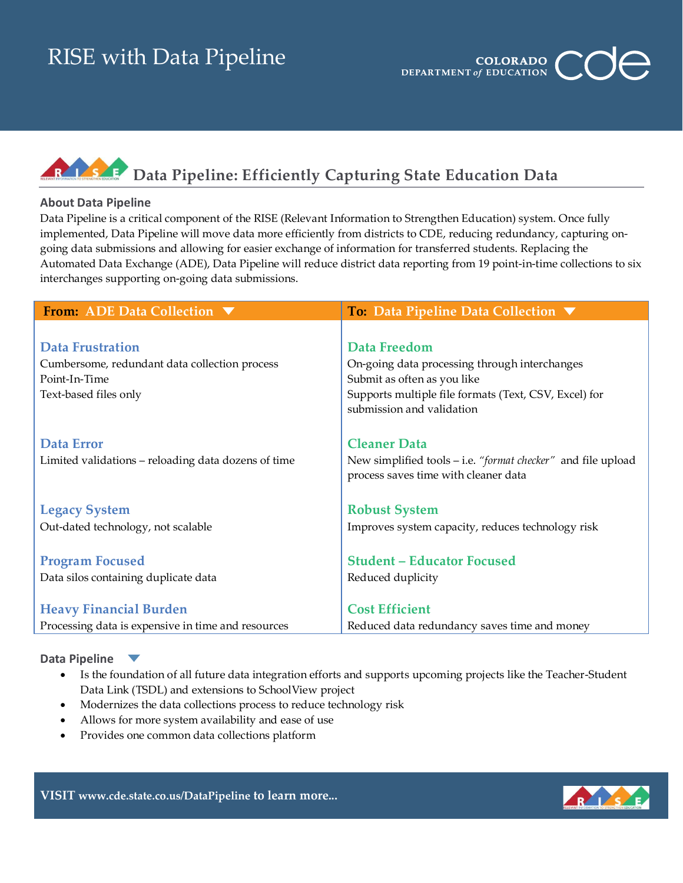# RISE with Data Pipeline



### RIZSZE **Data Pipeline: Efficiently Capturing State Education Data**

### **About Data Pipeline**

Data Pipeline is a critical component of the RISE (Relevant Information to Strengthen Education) system. Once fully implemented, Data Pipeline will move data more efficiently from districts to CDE, reducing redundancy, capturing ongoing data submissions and allowing for easier exchange of information for transferred students. Replacing the Automated Data Exchange (ADE), Data Pipeline will reduce district data reporting from 19 point-in-time collections to six interchanges supporting on-going data submissions.

| From: ADE Data Collection ▼                         | To: Data Pipeline Data Collection ▼                          |  |  |
|-----------------------------------------------------|--------------------------------------------------------------|--|--|
|                                                     |                                                              |  |  |
| <b>Data Frustration</b>                             | Data Freedom                                                 |  |  |
| Cumbersome, redundant data collection process       | On-going data processing through interchanges                |  |  |
| Point-In-Time                                       | Submit as often as you like                                  |  |  |
| Text-based files only                               | Supports multiple file formats (Text, CSV, Excel) for        |  |  |
|                                                     | submission and validation                                    |  |  |
|                                                     |                                                              |  |  |
| <b>Data Error</b>                                   | <b>Cleaner Data</b>                                          |  |  |
| Limited validations – reloading data dozens of time | New simplified tools – i.e. "format checker" and file upload |  |  |
|                                                     | process saves time with cleaner data                         |  |  |
| <b>Legacy System</b>                                | <b>Robust System</b>                                         |  |  |
| Out-dated technology, not scalable                  | Improves system capacity, reduces technology risk            |  |  |
|                                                     |                                                              |  |  |
| <b>Program Focused</b>                              | <b>Student - Educator Focused</b>                            |  |  |
| Data silos containing duplicate data                | Reduced duplicity                                            |  |  |
|                                                     |                                                              |  |  |
| <b>Heavy Financial Burden</b>                       | <b>Cost Efficient</b>                                        |  |  |
| Processing data is expensive in time and resources  | Reduced data redundancy saves time and money                 |  |  |

### **Data Pipeline**

- Is the foundation of all future data integration efforts and supports upcoming projects like the Teacher-Student Data Link (TSDL) and extensions to SchoolView project
- Modernizes the data collections process to reduce technology risk
- Allows for more system availability and ease of use
- Provides one common data collections platform



**VISIT [www.cde.state.co.us/DataPipeline](http://www.cde.state.co.us/DataPipeline) to learn more...**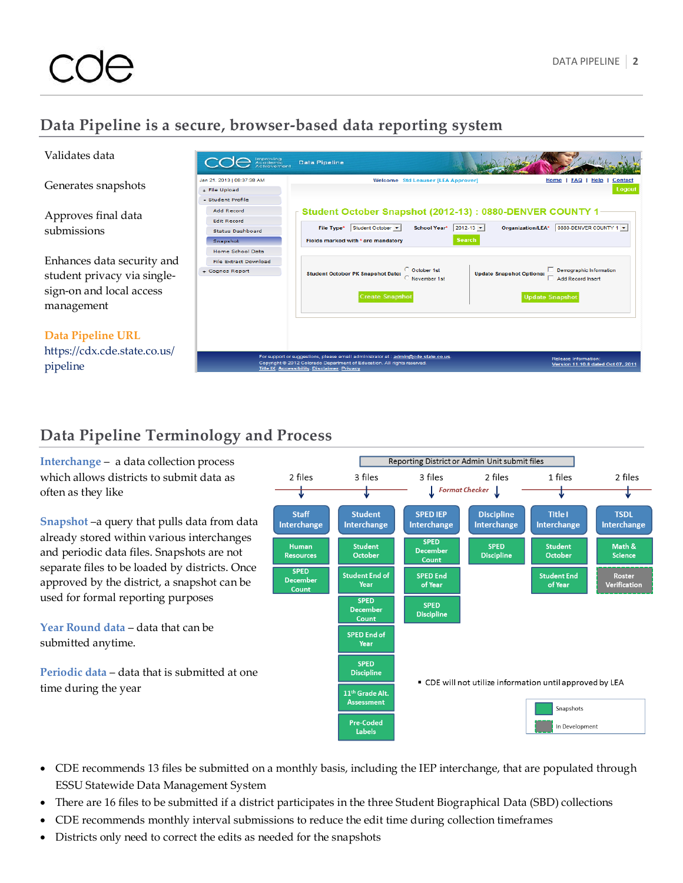## **Data Pipeline is a secure, browser-based data reporting system**

| Validates data                                                                                                                            | Improving<br>Academic                                                                                                                          | <b>Data Pipeline</b>                                                                                                                                                                                                                                                                                                          |                                                                                                                                                               |
|-------------------------------------------------------------------------------------------------------------------------------------------|------------------------------------------------------------------------------------------------------------------------------------------------|-------------------------------------------------------------------------------------------------------------------------------------------------------------------------------------------------------------------------------------------------------------------------------------------------------------------------------|---------------------------------------------------------------------------------------------------------------------------------------------------------------|
| Generates snapshots                                                                                                                       | Jan 21, 2013   08:37:38 AM<br>+ File Upload<br>- Student Profile                                                                               | <b>Welcome</b> Std Leauser [LEA Approver]                                                                                                                                                                                                                                                                                     | FAQ  <br>Help<br>Home<br>Contact<br>Logout                                                                                                                    |
| Approves final data<br>submissions<br>Enhances data security and<br>student privacy via single-<br>sign-on and local access<br>management | Add Record<br><b>Edit Record</b><br><b>Status Dashboard</b><br>Snapshot<br>Home School Data<br><b>File Extract Download</b><br>+ Cognos Report | Student October Snapshot (2012-13) : 0880-DENVER COUNTY 1<br>Student October v<br>$2012 - 13$ $\blacktriangleright$<br><b>School Year*</b><br><b>File Type*</b><br><b>Search</b><br>Fields marked with * are mandatory<br>C October 1st<br><b>Student October PK Snapshot Date:</b><br>November 1st<br><b>Create Snapshot</b> | 0880-DENVER COUNTY 1<br>Organization/LEA*<br>Demographic Information<br><b>Update Snapshot Options:</b><br><b>Add Record Insert</b><br><b>Update Snapshot</b> |
| <b>Data Pipeline URL</b><br>https://cdx.cde.state.co.us/<br>pipeline                                                                      |                                                                                                                                                | For support or suggestions, please email administrator at : admin@cde.state.co.us<br>Copyright @ 2012 Colorado Department of Education. All rights reserved.<br>Title IX. Accessibility. Disclaimer. Privacy                                                                                                                  | <b>Release Information</b><br>Version 11.10.8 dated Oct 07, 2011                                                                                              |

## **Data Pipeline Terminology and Process**

**Interchange** – a data collection process which allows districts to submit data as often as they like

**Snapshot** –a query that pulls data from data already stored within various interchanges and periodic data files. Snapshots are not separate files to be loaded by districts. Once approved by the district, a snapshot can be used for formal reporting purposes

**Year Round data** – data that can be submitted anytime.

**Periodic data** – data that is submitted at one time during the year



- CDE recommends 13 files be submitted on a monthly basis, including the IEP interchange, that are populated through ESSU Statewide Data Management System
- There are 16 files to be submitted if a district participates in the three Student Biographical Data (SBD) collections
- CDE recommends monthly interval submissions to reduce the edit time during collection timeframes
- Districts only need to correct the edits as needed for the snapshots